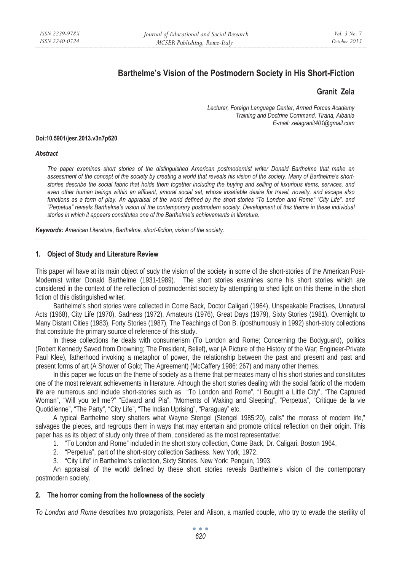# **Barthelme's Vision of the Postmodern Society in His Short-Fiction**

# **Granit Zela**

*Lecturer, Foreign Language Center, Armed Forces Academy Training and Doctrine Command, Tirana, Albania E-mail: zelagranit401@gmail.com* 

#### **Doi:10.5901/jesr.2013.v3n7p620**

#### *Abstract*

*The paper examines short stories of the distinguished American postmodernist writer Donald Barthelme that make an assessment of the concept of the society by creating a world that reveals his vision of the society. Many of Barthelme's shortstories describe the social fabric that holds them together including the buying and selling of luxurious items, services, and even other human beings within an affluent, amoral social set, whose insatiable desire for travel, novelty, and escape also functions as a form of play. An appraisal of the world defined by the short stories "To London and Rome" "City Life", and "Perpetua" reveals Barthelme's vision of the contemporary postmodern society. Development of this theme in these individual stories in which it appears constitutes one of the Barthelme's achievements in literature.* 

*Keywords: American Literature, Barthelme, short-fiction, vision of the society.* 

### **1. Object of Study and Literature Review**

This paper wil have at its main object of sudy the vision of the society in some of the short-stories of the American Post-Modernist writer Donald Barthelme (1931-1989). The short stories examines some his short stories which are considered in the context of the reflection of postmodernist society by attempting to shed light on this theme in the short fiction of this distinguished writer.

Barthelme's short stories were collected in Come Back, Doctor Caligari (1964), Unspeakable Practises, Unnatural Acts (1968), City Life (1970), Sadness (1972), Amateurs (1976), Great Days (1979), Sixty Stories (1981), Overnight to Many Distant Cities (1983), Forty Stories (1987), The Teachings of Don B. (posthumously in 1992) short-story collections that constitute the primary source of reference of this study.

In these collections he deals with consumerism (To London and Rome; Concerning the Bodyguard), politics (Robert Kennedy Saved from Drowning; The President, Belief), war (A Picture of the History of the War; Engineer-Private Paul Klee), fatherhood invoking a metaphor of power, the relationship between the past and present and past and present forms of art (A Shower of Gold; The Agreement) (McCaffery 1986: 267) and many other themes.

In this paper we focus on the theme of society as a theme that permeates many of his short stories and constitutes one of the most relevant achievements in literature. Athough the short stories dealing with the social fabric of the modern life are numerous and include short-stories such as "To London and Rome", "I Bought a Little City", "The Captured Woman", "Will you tell me?" "Edward and Pia", "Moments of Waking and Sleeping", "Perpetua", "Critique de la vie Quotidienne", "The Party", "City Life", "The Indian Uprising", "Paraguay" etc.

A typical Barthelme story shatters what Wayne Stengel (Stengel 1985:20), calls" the morass of modern life," salvages the pieces, and regroups them in ways that may entertain and promote critical reflection on their origin. This paper has as its object of study only three of them, considered as the most representative:

1. "To London and Rome" included in the short story collection, Come Back, Dr. Caligari. Boston 1964.

- 2. "Perpetua", part of the short-story collection Sadness. New York, 1972.
- 3. "City Life" in Barthelme's collection, Sixty Stories. New York: Penguin, 1993.

An appraisal of the world defined by these short stories reveals Barthelme's vision of the contemporary postmodern society.

# **2. The horror coming from the hollowness of the society**

*To London and Rome* describes two protagonists, Peter and Alison, a married couple, who try to evade the sterility of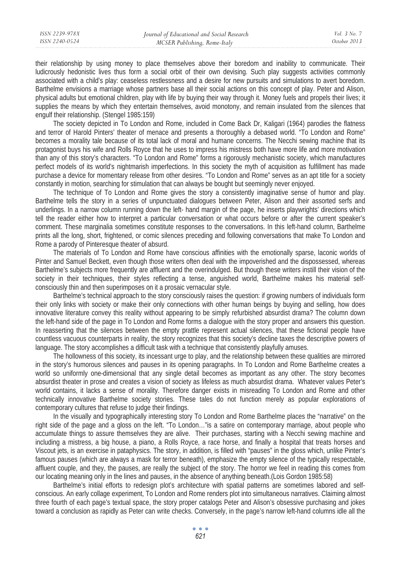| ISSN 2239-978X | Journal of Educational and Social Research | Vol. 3 No. 7 |
|----------------|--------------------------------------------|--------------|
| ISSN 2240-0524 | MCSER Publishing, Rome-Italy               | October 2013 |
|                |                                            |              |

their relationship by using money to place themselves above their boredom and inability to communicate. Their ludicrously hedonistic lives thus form a social orbit of their own devising. Such play suggests activities commonly associated with a child's play: ceaseless restlessness and a desire for new pursuits and simulations to avert boredom. Barthelme envisions a marriage whose partners base all their social actions on this concept of play. Peter and Alison, physical adults but emotional children, play with life by buying their way through it. Money fuels and propels their lives; it supplies the means by which they entertain themselves, avoid monotony, and remain insulated from the silences that engulf their relationship. (Stengel 1985:159)

The society depicted in To London and Rome, included in Come Back Dr, Kaligari (1964) parodies the flatness and terror of Harold Pinters' theater of menace and presents a thoroughly a debased world. "To London and Rome" becomes a morality tale because of its total lack of moral and humane concerns. The Necchi sewing machine that its protagonist buys his wife and Rolls Royce that he uses to impress his mistress both have more life and more motivation than any of this story's characters. "To London and Rome" forms a rigorously mechanistic society, which manufactures perfect models of its world's nightmarish imperfections. In this society the myth of acquisition as fulfillment has made purchase a device for momentary release from other desires. "To London and Rome" serves as an apt title for a society constantly in motion, searching for stimulation that can always be bought but seemingly never enjoyed.

The technique of To London and Rome gives the story a consistently imaginative sense of humor and play. Barthelme tells the story in a series of unpunctuated dialogues between Peter, Alison and their assorted serfs and underlings. In a narrow column running down the left- hand margin of the page, he inserts playwrights' directions which tell the reader either how to interpret a particular conversation or what occurs before or after the current speaker's comment. These marginalia sometimes constitute responses to the conversations. In this left-hand column, Barthelme prints all the long, short, frightened, or comic silences preceding and following conversations that make To London and Rome a parody of Pinteresque theater of absurd.

The materials of To London and Rome have conscious affinities with the emotionally sparse, laconic worlds of Pinter and Samuel Beckett, even though those writers often deal with the impoverished and the dispossessed, whereas Barthelme's subjects more frequently are affluent and the overindulged. But though these writers instill their vision of the society in their techniques, their styles reflecting a tense, anguished world, Barthelme makes his material selfconsciously thin and then superimposes on it a prosaic vernacular style.

Barthelme's technical approach to the story consciously raises the question: if growing numbers of individuals form their only links with society or make their only connections with other human beings by buying and selling, how does innovative literature convey this reality without appearing to be simply refurbished absurdist drama? The column down the left-hand side of the page in To London and Rome forms a dialogue with the story proper and answers this question. In reasserting that the silences between the empty prattle represent actual silences, that these fictional people have countless vacuous counterparts in reality, the story recognizes that this society's decline taxes the descriptive powers of language. The story accomplishes a difficult task with a technique that consistently playfully amuses.

The hollowness of this society, its incessant urge to play, and the relationship between these qualities are mirrored in the story's humorous silences and pauses in its opening paragraphs. In To London and Rome Barthelme creates a world so uniformly one-dimensional that any single detail becomes as important as any other. The story becomes absurdist theater in prose and creates a vision of society as lifeless as much absurdist drama. Whatever values Peter's world contains, it lacks a sense of morality. Therefore danger exists in misreading To London and Rome and other technically innovative Barthelme society stories. These tales do not function merely as popular explorations of contemporary cultures that refuse to judge their findings.

In the visually and typographically interesting story To London and Rome Barthelme places the "narrative" on the right side of the page and a gloss on the left. "To London…"is a satire on contemporary marriage, about people who accumulate things to assure themselves they are alive. Their purchases, starting with a Necchi sewing machine and including a mistress, a big house, a piano, a Rolls Royce, a race horse, and finally a hospital that treats horses and Viscout jets, is an exercise in pataphysics. The story, in addition, is filled with "pauses" in the gloss which, unlike Pinter's famous pauses (which are always a mask for terror beneath), emphasize the empty silence of the typically respectable, affluent couple, and they, the pauses, are really the subject of the story. The horror we feel in reading this comes from our locating meaning only in the lines and pauses, in the absence of anything beneath.(Lois Gordon 1985:58)

Barthelme's initial efforts to redesign plot's architecture with spatial patterns are sometimes labored and selfconscious. An early collage experiment, To London and Rome renders plot into simultaneous narratives. Claiming almost three fourth of each page's textual space, the story proper catalogs Peter and Alison's obsessive purchasing and jokes toward a conclusion as rapidly as Peter can write checks. Conversely, in the page's narrow left-hand columns idle all the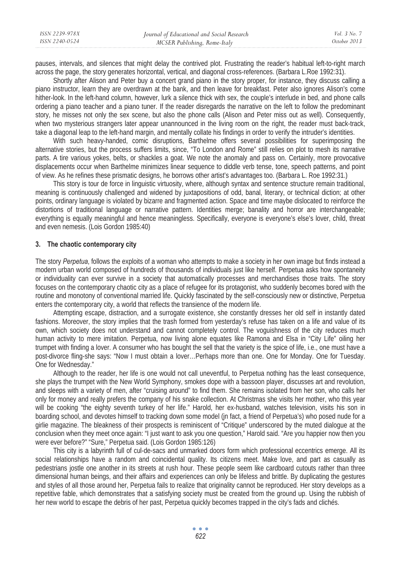| ISSN 2239-978X | Journal of Educational and Social Research | - Vol. 3 No. 7 |
|----------------|--------------------------------------------|----------------|
| ISSN 2240-0524 | MCSER Publishing, Rome-Italy               | October 2013   |
|                |                                            |                |

pauses, intervals, and silences that might delay the contrived plot. Frustrating the reader's habitual left-to-right march across the page, the story generates horizontal, vertical, and diagonal cross-references. (Barbara L.Roe 1992:31).

Shortly after Alison and Peter buy a concert grand piano in the story proper, for instance, they discuss calling a piano instructor, learn they are overdrawn at the bank, and then leave for breakfast. Peter also ignores Alison's come hither-look. In the left-hand column, however, lurk a silence thick with sex, the couple's interlude in bed, and phone calls ordering a piano teacher and a piano tuner. If the reader disregards the narrative on the left to follow the predominant story, he misses not only the sex scene, but also the phone calls (Alison and Peter miss out as well). Consequently, when two mysterious strangers later appear unannounced in the living room on the right, the reader must back-track, take a diagonal leap to the left-hand margin, and mentally collate his findings in order to verify the intruder's identities.

With such heavy-handed, comic disruptions, Barthelme offers several possibilities for superimposing the alternative stories, but the process suffers limits, since, "To London and Rome" still relies on plot to mesh its narrative parts. A tire various yokes, belts, or shackles a goat. We note the anomaly and pass on. Certainly, more provocative displacements occur when Barthelme minimizes linear sequence to diddle verb tense, tone, speech patterns, and point of view. As he refines these prismatic designs, he borrows other artist's advantages too. (Barbara L. Roe 1992:31.)

This story is tour de force in linguistic virtuosity, where, although syntax and sentence structure remain traditional, meaning is continuously challenged and widened by juxtapositions of odd, banal, literary, or technical diction; at other points, ordinary language is violated by bizarre and fragmented action. Space and time maybe dislocated to reinforce the distortions of traditional language or narrative pattern. Identities merge; banality and horror are interchangeable; everything is equally meaningful and hence meaningless. Specifically, everyone is everyone's else's lover, child, threat and even nemesis. (Lois Gordon 1985:40)

## **3. The chaotic contemporary city**

The story *Perpetua*, follows the exploits of a woman who attempts to make a society in her own image but finds instead a modern urban world composed of hundreds of thousands of individuals just like herself. Perpetua asks how spontaneity or individuality can ever survive in a society that automatically processes and merchandises those traits. The story focuses on the contemporary chaotic city as a place of refugee for its protagonist, who suddenly becomes bored with the routine and monotony of conventional married life. Quickly fascinated by the self-consciously new or distinctive, Perpetua enters the contemporary city, a world that reflects the transience of the modern life.

Attempting escape, distraction, and a surrogate existence, she constantly dresses her old self in instantly dated fashions. Moreover, the story implies that the trash formed from yesterday's refuse has taken on a life and value of its own, which society does not understand and cannot completely control. The voguishness of the city reduces much human activity to mere imitation. Perpetua, now living alone equates like Ramona and Elsa in "City Life" oiling her trumpet with finding a lover. A consumer who has bought the sell that the variety is the spice of life, i.e., one must have a post-divorce fling-she says: "Now I must obtain a lover…Perhaps more than one. One for Monday. One for Tuesday. One for Wednesday."

Although to the reader, her life is one would not call uneventful, to Perpetua nothing has the least consequence, she plays the trumpet with the New World Symphony, smokes dope with a bassoon player, discusses art and revolution, and sleeps with a variety of men, after "cruising around" to find them. She remains isolated from her son, who calls her only for money and really prefers the company of his snake collection. At Christmas she visits her mother, who this year will be cooking "the eighty seventh turkey of her life." Harold, her ex-husband, watches television, visits his son in boarding school, and devotes himself to tracking down some model (jn fact, a friend of Perpetua's) who posed nude for a girlie magazine. The bleakness of their prospects is reminiscent of "Critique" underscored by the muted dialogue at the conclusion when they meet once again: "I just want to ask you one question," Harold said. "Are you happier now then you were ever before?" "Sure," Perpetua said. (Lois Gordon 1985:126)

This city is a labyrinth full of cul-de-sacs and unmarked doors form which professional eccentrics emerge. All its social relationships have a random and coincidental quality. Its citizens meet. Make love, and part as casually as pedestrians jostle one another in its streets at rush hour. These people seem like cardboard cutouts rather than three dimensional human beings, and their affairs and experiences can only be lifeless and brittle. By duplicating the gestures and styles of all those around her, Perpetua fails to realize that originality cannot be reproduced. Her story develops as a repetitive fable, which demonstrates that a satisfying society must be created from the ground up. Using the rubbish of her new world to escape the debris of her past, Perpetua quickly becomes trapped in the city's fads and clichés.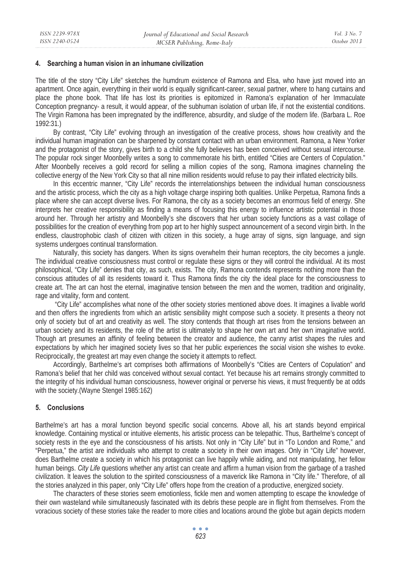### **4. Searching a human vision in an inhumane civilization**

The title of the story "City Life" sketches the humdrum existence of Ramona and Elsa, who have just moved into an apartment. Once again, everything in their world is equally significant-career, sexual partner, where to hang curtains and place the phone book. That life has lost its priorities is epitomized in Ramona's explanation of her Immaculate Conception pregnancy- a result, it would appear, of the subhuman isolation of urban life, if not the existential conditions. The Virgin Ramona has been impregnated by the indifference, absurdity, and sludge of the modern life. (Barbara L. Roe 1992:31.)

By contrast, "City Life" evolving through an investigation of the creative process, shows how creativity and the individual human imagination can be sharpened by constant contact with an urban environment. Ramona, a New Yorker and the protagonist of the story, gives birth to a child she fully believes has been conceived without sexual intercourse. The popular rock singer Moonbelly writes a song to commemorate his birth, entitled "Cities are Centers of Copulation." After Moonbelly receives a gold record for selling a million copies of the song, Ramona imagines channeling the collective energy of the New York City so that all nine million residents would refuse to pay their inflated electricity bills.

In this eccentric manner, "City Life" records the interrelationships between the individual human consciousness and the artistic process, which the city as a high voltage charge inspiring both qualities. Unlike Perpetua, Ramona finds a place where she can accept diverse lives. For Ramona, the city as a society becomes an enormous field of energy. She interprets her creative responsibility as finding a means of focusing this energy to influence artistic potential in those around her. Through her artistry and Moonbelly's she discovers that her urban society functions as a vast collage of possibilities for the creation of everything from pop art to her highly suspect announcement of a second virgin birth. In the endless, claustrophobic clash of citizen with citizen in this society, a huge array of signs, sign language, and sign systems undergoes continual transformation.

Naturally, this society has dangers. When its signs overwhelm their human receptors, the city becomes a jungle. The individual creative consciousness must control or regulate these signs or they will control the individual. At its most philosophical, "City Life" denies that city, as such, exists. The city, Ramona contends represents nothing more than the conscious attitudes of all its residents toward it. Thus Ramona finds the city the ideal place for the consciousness to create art. The art can host the eternal, imaginative tension between the men and the women, tradition and originality, rage and vitality, form and content.

 "City Life" accomplishes what none of the other society stories mentioned above does. It imagines a livable world and then offers the ingredients from which an artistic sensibility might compose such a society. It presents a theory not only of society but of art and creativity as well. The story contends that though art rises from the tensions between an urban society and its residents, the role of the artist is ultimately to shape her own art and her own imaginative world. Though art presumes an affinity of feeling between the creator and audience, the canny artist shapes the rules and expectations by which her imagined society lives so that her public experiences the social vision she wishes to evoke. Reciprocically, the greatest art may even change the society it attempts to reflect.

Accordingly, Barthelme's art comprises both affirmations of Moonbelly's "Cities are Centers of Copulation" and Ramona's belief that her child was conceived without sexual contact. Yet because his art remains strongly committed to the integrity of his individual human consciousness, however original or perverse his views, it must frequently be at odds with the society.(Wayne Stengel 1985:162)

## **5. Conclusions**

Barthelme's art has a moral function beyond specific social concerns. Above all, his art stands beyond empirical knowledge. Containing mystical or intuitive elements, his artistic process can be telepathic. Thus, Barthelme's concept of society rests in the eye and the consciousness of his artists. Not only in "City Life" but in "To London and Rome," and "Perpetua," the artist are individuals who attempt to create a society in their own images. Only in "City Life" however, does Barthelme create a society in which his protagonist can live happily while aiding, and not manipulating, her fellow human beings. *City Life* questions whether any artist can create and affirm a human vision from the garbage of a trashed civilization. It leaves the solution to the spirited consciousness of a maverick like Ramona in "City life." Therefore, of all the stories analyzed in this paper, only "City Life" offers hope from the creation of a productive, energized society.

The characters of these stories seem emotionless, fickle men and women attempting to escape the knowledge of their own wasteland while simultaneously fascinated with its debris these people are in flight from themselves. From the voracious society of these stories take the reader to more cities and locations around the globe but again depicts modern